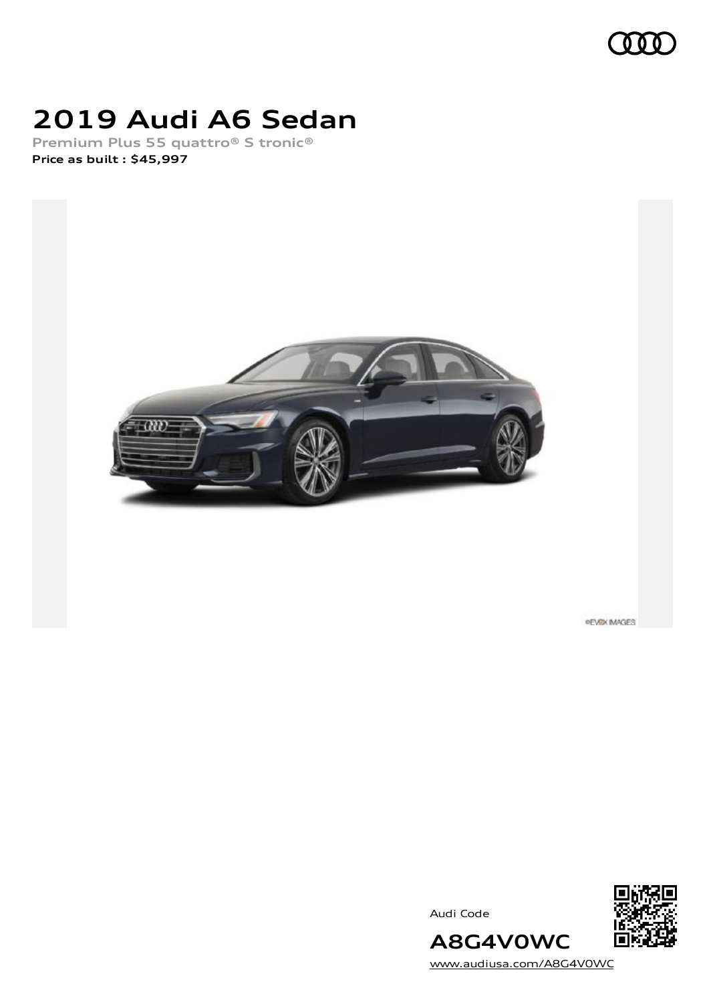

# **2019 Audi A6 Sedan**

**Premium Plus 55 quattro® S tronic® Price as built [:](#page-8-0) \$45,997**



**PEVEX IMAGES** 

Audi Code



[www.audiusa.com/A8G4V0WC](https://www.audiusa.com/A8G4V0WC)

**A8G4V0WC**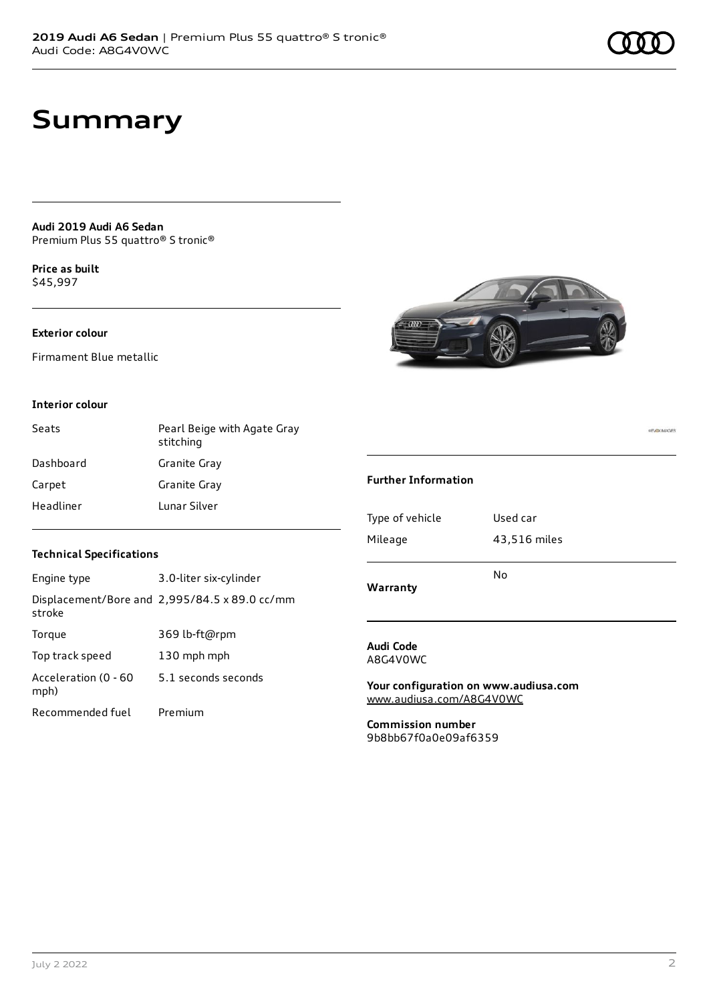**PEVEX IMAGES** 

## **Summary**

**Audi 2019 Audi A6 Sedan** Premium Plus 55 quattro® S tronic®

**Price as buil[t](#page-8-0)** \$45,997

### **Exterior colour**

Firmament Blue metallic

#### **Interior colour**

| Seats     | Pearl Beige with Agate Gray<br>stitching |
|-----------|------------------------------------------|
| Dashboard | Granite Gray                             |
| Carpet    | Granite Gray                             |
| Headliner | Lunar Silver                             |



| Engine type                  | 3.0-liter six-cylinder                        |
|------------------------------|-----------------------------------------------|
| stroke                       | Displacement/Bore and 2,995/84.5 x 89.0 cc/mm |
| Torque                       | 369 lb-ft@rpm                                 |
| Top track speed              | 130 mph mph                                   |
| Acceleration (0 - 60<br>mph) | 5.1 seconds seconds                           |
| Recommended fuel             | Premium                                       |



### **Further Information**

#### **Audi Code** A8G4V0WC

**Your configuration on www.audiusa.com** [www.audiusa.com/A8G4V0WC](https://www.audiusa.com/A8G4V0WC)

**Commission number** 9b8bb67f0a0e09af6359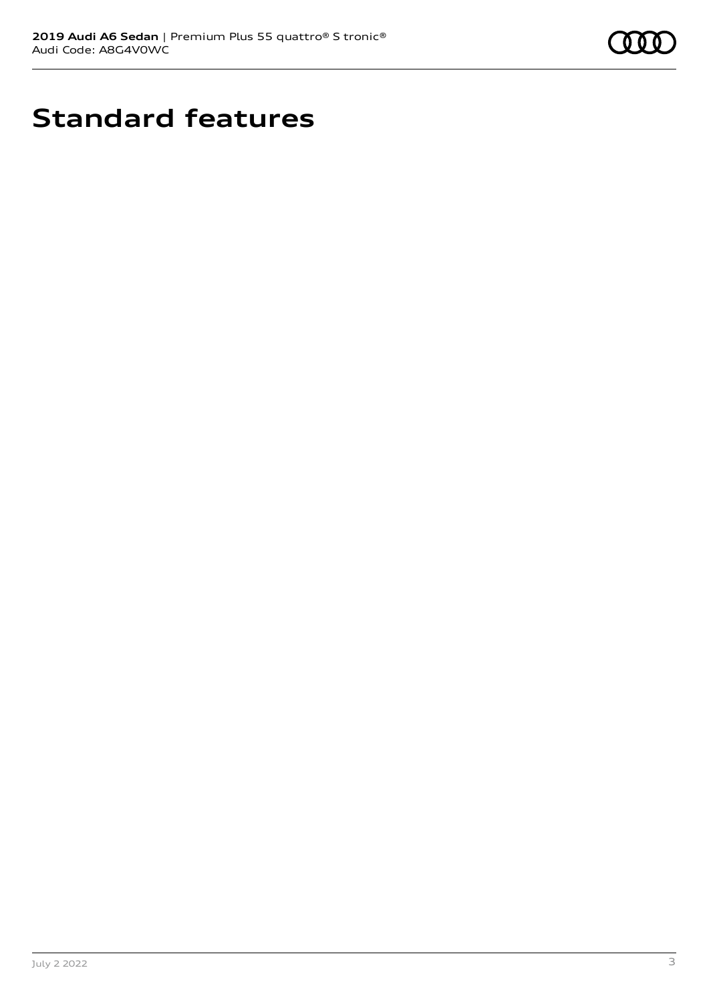

# **Standard features**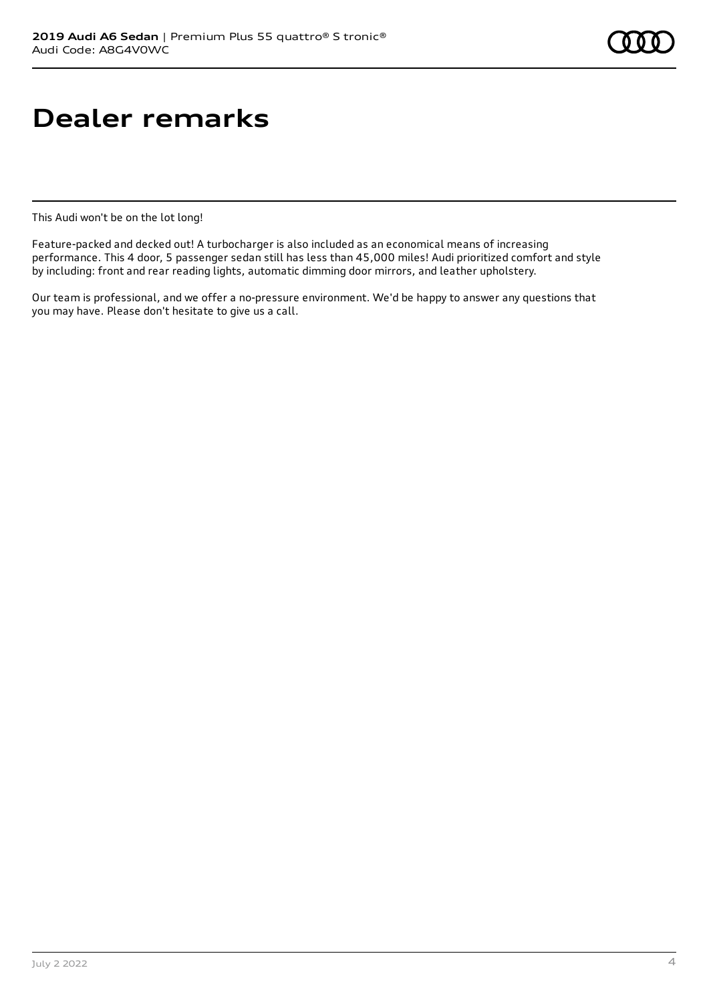# **Dealer remarks**

This Audi won't be on the lot long!

Feature-packed and decked out! A turbocharger is also included as an economical means of increasing performance. This 4 door, 5 passenger sedan still has less than 45,000 miles! Audi prioritized comfort and style by including: front and rear reading lights, automatic dimming door mirrors, and leather upholstery.

Our team is professional, and we offer a no-pressure environment. We'd be happy to answer any questions that you may have. Please don't hesitate to give us a call.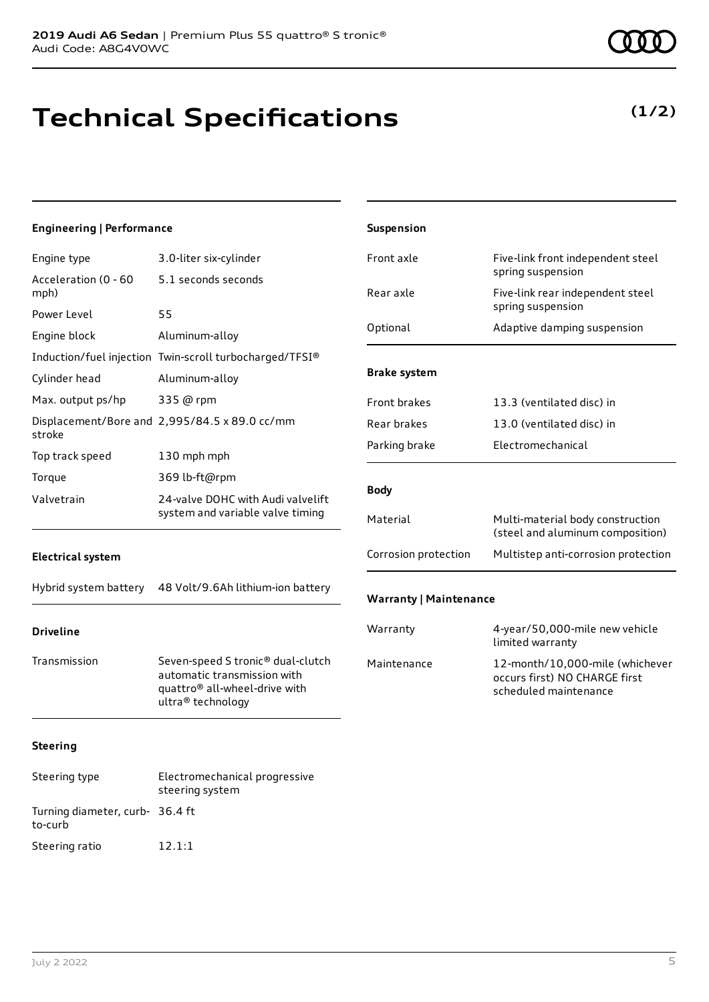# **Technical Specifications**

| <b>Engineering   Performance</b> |                                                                                                                                    | Suspension                    |                                                                                           |
|----------------------------------|------------------------------------------------------------------------------------------------------------------------------------|-------------------------------|-------------------------------------------------------------------------------------------|
| Engine type                      | 3.0-liter six-cylinder                                                                                                             | Front axle                    | Five-link front independent steel                                                         |
| Acceleration (0 - 60<br>mph)     | 5.1 seconds seconds                                                                                                                | Rear axle                     | spring suspension<br>Five-link rear independent steel                                     |
| Power Level                      | 55                                                                                                                                 |                               | spring suspension                                                                         |
| Engine block                     | Aluminum-alloy                                                                                                                     | Optional                      | Adaptive damping suspension                                                               |
|                                  | Induction/fuel injection Twin-scroll turbocharged/TFSI®                                                                            |                               |                                                                                           |
| Cylinder head                    | Aluminum-alloy                                                                                                                     | <b>Brake system</b>           |                                                                                           |
| Max. output ps/hp                | 335 @ rpm                                                                                                                          | Front brakes                  | 13.3 (ventilated disc) in                                                                 |
| stroke                           | Displacement/Bore and 2,995/84.5 x 89.0 cc/mm                                                                                      | Rear brakes                   | 13.0 (ventilated disc) in                                                                 |
| Top track speed                  | 130 mph mph                                                                                                                        | Parking brake                 | Electromechanical                                                                         |
| Torque                           | 369 lb-ft@rpm                                                                                                                      |                               |                                                                                           |
| Valvetrain                       | 24-valve DOHC with Audi valvelift                                                                                                  | <b>Body</b>                   |                                                                                           |
|                                  | system and variable valve timing                                                                                                   | Material                      | Multi-material body construction<br>(steel and aluminum composition)                      |
| <b>Electrical system</b>         |                                                                                                                                    | Corrosion protection          | Multistep anti-corrosion protection                                                       |
| Hybrid system battery            | 48 Volt/9.6Ah lithium-ion battery                                                                                                  | <b>Warranty   Maintenance</b> |                                                                                           |
| <b>Driveline</b>                 |                                                                                                                                    | Warranty                      | 4-year/50,000-mile new vehicle<br>limited warranty                                        |
| Transmission                     | Seven-speed S tronic® dual-clutch<br>automatic transmission with<br>quattro <sup>®</sup> all-wheel-drive with<br>ultra® technology | Maintenance                   | 12-month/10,000-mile (whichever<br>occurs first) NO CHARGE first<br>scheduled maintenance |
| <b>Steering</b>                  |                                                                                                                                    |                               |                                                                                           |
| Steering type                    | Electromechanical progressive<br>steering system                                                                                   |                               |                                                                                           |

to-curb

Turning diameter, curb-36.4 ft

Steering ratio 12.1:1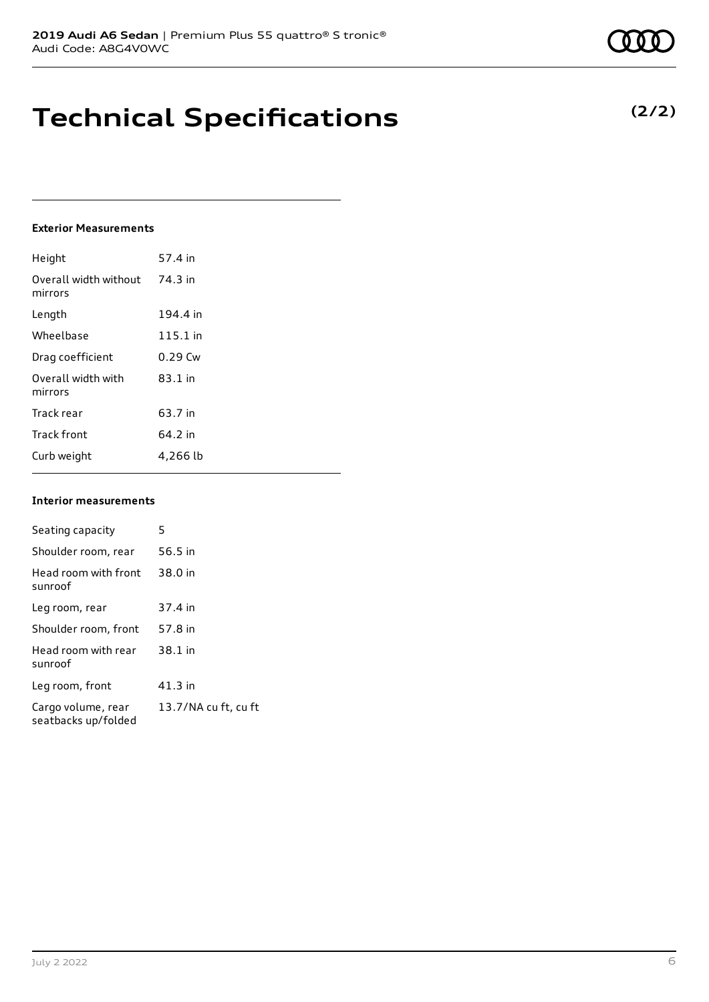## **Technical Specifications**

### **Exterior Measurements**

| Height                           | 57.4 in   |
|----------------------------------|-----------|
| Overall width without<br>mirrors | 74.3 in   |
| Length                           | 194.4 in  |
| Wheelbase                        | 115.1 in  |
| Drag coefficient                 | $0.29$ Cw |
| Overall width with<br>mirrors    | $83.1$ in |
| Track rear                       | 63.7 in   |
| <b>Track front</b>               | 64.2 in   |
| Curb weight                      | 4,266 lb  |

#### **Interior measurements**

| Seating capacity                          | 5                    |
|-------------------------------------------|----------------------|
| Shoulder room, rear                       | 56.5 in              |
| Head room with front<br>sunroof           | 38.0 in              |
| Leg room, rear                            | 37.4 in              |
| Shoulder room, front                      | 57.8 in              |
| Head room with rear<br>sunroof            | 38.1 in              |
| Leg room, front                           | $41.3$ in            |
| Cargo volume, rear<br>seatbacks up/folded | 13.7/NA cu ft, cu ft |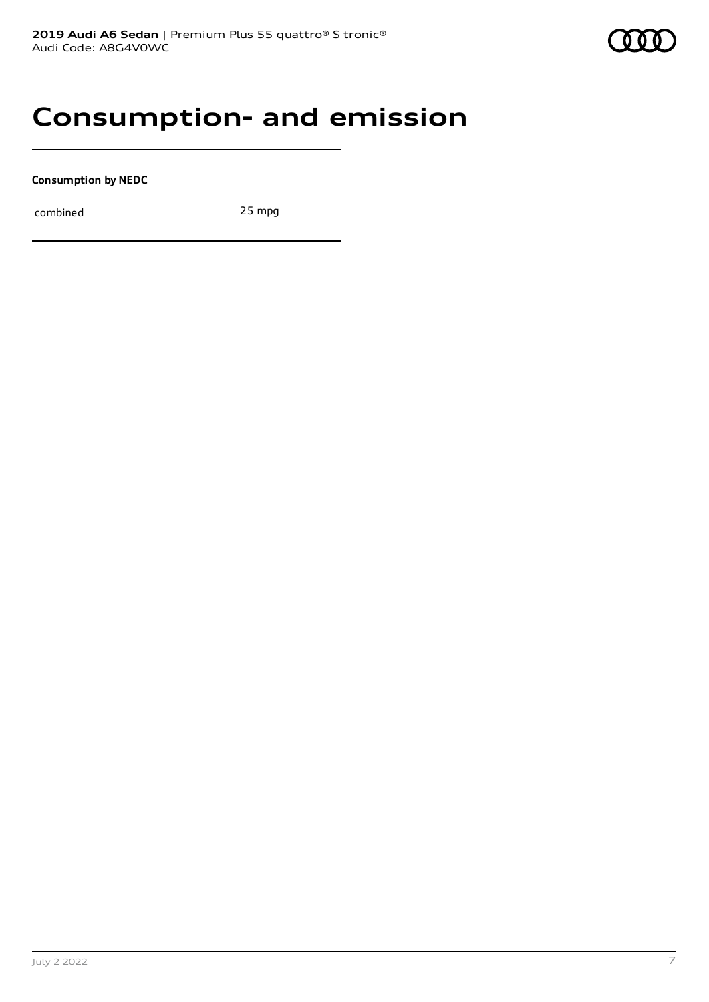### **Consumption- and emission**

**Consumption by NEDC**

combined 25 mpg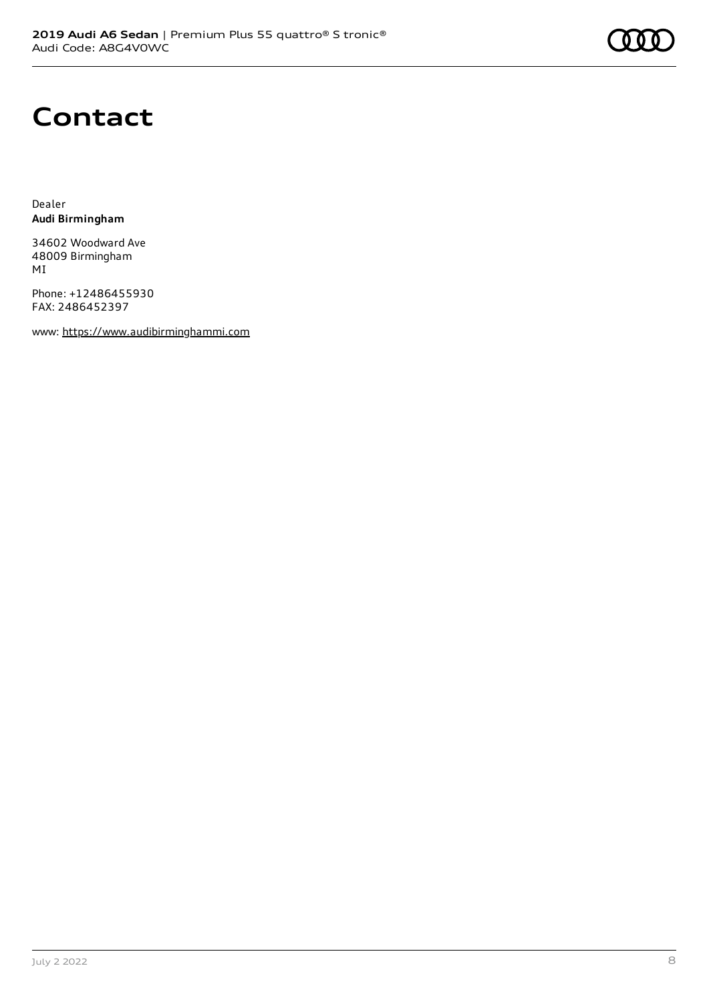## **Contact**

Dealer **Audi Birmingham**

34602 Woodward Ave 48009 Birmingham MI

Phone: +12486455930 FAX: 2486452397

www: [https://www.audibirminghammi.com](https://www.audibirminghammi.com/)